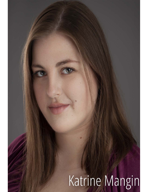# Katrine Mangin